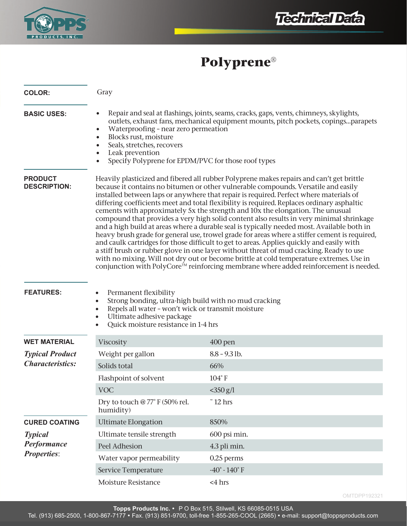



# **Polyprene®**

| <b>COLOR:</b>                                              | Gray                                                                                                                                                                                                                                                                                                                                                                                                                                                                                                                                                                                                                                                                                                                                                                                                                                                                                                                                                                                                                                                                                                                          |                                   |
|------------------------------------------------------------|-------------------------------------------------------------------------------------------------------------------------------------------------------------------------------------------------------------------------------------------------------------------------------------------------------------------------------------------------------------------------------------------------------------------------------------------------------------------------------------------------------------------------------------------------------------------------------------------------------------------------------------------------------------------------------------------------------------------------------------------------------------------------------------------------------------------------------------------------------------------------------------------------------------------------------------------------------------------------------------------------------------------------------------------------------------------------------------------------------------------------------|-----------------------------------|
| <b>BASIC USES:</b>                                         | Repair and seal at flashings, joints, seams, cracks, gaps, vents, chimneys, skylights,<br>$\bullet$<br>outlets, exhaust fans, mechanical equipment mounts, pitch pockets, copingsparapets<br>Waterproofing - near zero permeation<br>$\bullet$<br>Blocks rust, moisture<br>$\bullet$<br>Seals, stretches, recovers<br>Leak prevention<br>Specify Polyprene for EPDM/PVC for those roof types                                                                                                                                                                                                                                                                                                                                                                                                                                                                                                                                                                                                                                                                                                                                  |                                   |
| <b>PRODUCT</b><br><b>DESCRIPTION:</b>                      | Heavily plasticized and fibered all rubber Polyprene makes repairs and can't get brittle<br>because it contains no bitumen or other vulnerable compounds. Versatile and easily<br>installed between laps or anywhere that repair is required. Perfect where materials of<br>differing coefficients meet and total flexibility is required. Replaces ordinary asphaltic<br>cements with approximately 5x the strength and 10x the elongation. The unusual<br>compound that provides a very high solid content also results in very minimal shrinkage<br>and a high build at areas where a durable seal is typically needed most. Available both in<br>heavy brush grade for general use, trowel grade for areas where a stiffer cement is required,<br>and caulk cartridges for those difficult to get to areas. Applies quickly and easily with<br>a stiff brush or rubber glove in one layer without threat of mud cracking. Ready to use<br>with no mixing. Will not dry out or become brittle at cold temperature extremes. Use in<br>conjunction with PolyCore™ reinforcing membrane where added reinforcement is needed. |                                   |
| <b>FEATURES:</b>                                           | Permanent flexibility<br>$\bullet$<br>Strong bonding, ultra-high build with no mud cracking<br>$\bullet$<br>Repels all water - won't wick or transmit moisture<br>$\bullet$<br>Ultimate adhesive package<br>Quick moisture resistance in 1-4 hrs                                                                                                                                                                                                                                                                                                                                                                                                                                                                                                                                                                                                                                                                                                                                                                                                                                                                              |                                   |
| <b>WET MATERIAL</b>                                        | Viscosity                                                                                                                                                                                                                                                                                                                                                                                                                                                                                                                                                                                                                                                                                                                                                                                                                                                                                                                                                                                                                                                                                                                     | $400$ pen                         |
| <b>Typical Product</b><br><b>Characteristics:</b>          | Weight per gallon                                                                                                                                                                                                                                                                                                                                                                                                                                                                                                                                                                                                                                                                                                                                                                                                                                                                                                                                                                                                                                                                                                             | $8.8 - 9.3$ lb.                   |
|                                                            | Solids total                                                                                                                                                                                                                                                                                                                                                                                                                                                                                                                                                                                                                                                                                                                                                                                                                                                                                                                                                                                                                                                                                                                  | 66%                               |
|                                                            | Flashpoint of solvent                                                                                                                                                                                                                                                                                                                                                                                                                                                                                                                                                                                                                                                                                                                                                                                                                                                                                                                                                                                                                                                                                                         | $104^\circ$ F                     |
|                                                            | <b>VOC</b>                                                                                                                                                                                                                                                                                                                                                                                                                                                                                                                                                                                                                                                                                                                                                                                                                                                                                                                                                                                                                                                                                                                    | $<$ 350 g/l                       |
|                                                            | Dry to touch @ 77° F (50% rel.<br>humidity)                                                                                                                                                                                                                                                                                                                                                                                                                                                                                                                                                                                                                                                                                                                                                                                                                                                                                                                                                                                                                                                                                   | $\degree$ 12 hrs                  |
| <b>CURED COATING</b>                                       | <b>Ultimate Elongation</b>                                                                                                                                                                                                                                                                                                                                                                                                                                                                                                                                                                                                                                                                                                                                                                                                                                                                                                                                                                                                                                                                                                    | 850%                              |
| <b>Typical</b><br><b>Performance</b><br><b>Properties:</b> | Ultimate tensile strength                                                                                                                                                                                                                                                                                                                                                                                                                                                                                                                                                                                                                                                                                                                                                                                                                                                                                                                                                                                                                                                                                                     | 600 psi min.                      |
|                                                            | Peel Adhesion                                                                                                                                                                                                                                                                                                                                                                                                                                                                                                                                                                                                                                                                                                                                                                                                                                                                                                                                                                                                                                                                                                                 | 4.3 pli min.                      |
|                                                            | Water vapor permeability                                                                                                                                                                                                                                                                                                                                                                                                                                                                                                                                                                                                                                                                                                                                                                                                                                                                                                                                                                                                                                                                                                      | 0.25 perms                        |
|                                                            | Service Temperature                                                                                                                                                                                                                                                                                                                                                                                                                                                                                                                                                                                                                                                                                                                                                                                                                                                                                                                                                                                                                                                                                                           | -40 $^{\circ}$ - 140 $^{\circ}$ F |
|                                                            | Moisture Resistance                                                                                                                                                                                                                                                                                                                                                                                                                                                                                                                                                                                                                                                                                                                                                                                                                                                                                                                                                                                                                                                                                                           | $<$ 4 hrs                         |

OMTDPP192321